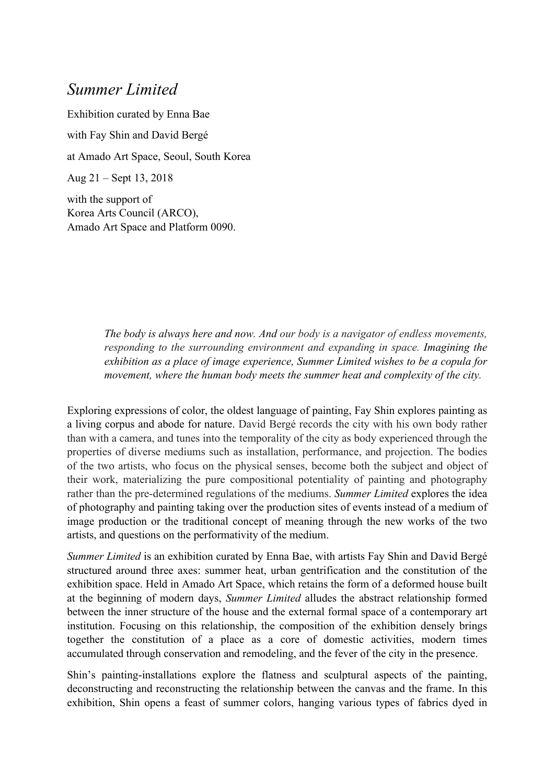## *Summer Limited*

Exhibition curated by Enna Bae with Fay Shin and David Bergé at Amado Art Space, Seoul, South Korea Aug 21 – Sept 13, 2018

with the support of Korea Arts Council (ARCO), Amado Art Space and Platform 0090.

> *The body is always here and now. And our body is a navigator of endless movements, responding to the surrounding environment and expanding in space. Imagining the exhibition as a place of image experience, Summer Limited wishes to be a copula for movement, where the human body meets the summer heat and complexity of the city.*

Exploring expressions of color, the oldest language of painting, Fay Shin explores painting as a living corpus and abode for nature. David Bergé records the city with his own body rather than with a camera, and tunes into the temporality of the city as body experienced through the properties of diverse mediums such as installation, performance, and projection. The bodies of the two artists, who focus on the physical senses, become both the subject and object of their work, materializing the pure compositional potentiality of painting and photography rather than the pre-determined regulations of the mediums. *Summer Limited* explores the idea of photography and painting taking over the production sites of events instead of a medium of image production or the traditional concept of meaning through the new works of the two artists, and questions on the performativity of the medium.

*Summer Limited* is an exhibition curated by Enna Bae, with artists Fay Shin and David Bergé structured around three axes: summer heat, urban gentrification and the constitution of the exhibition space. Held in Amado Art Space, which retains the form of a deformed house built at the beginning of modern days, *Summer Limited* alludes the abstract relationship formed between the inner structure of the house and the external formal space of a contemporary art institution. Focusing on this relationship, the composition of the exhibition densely brings together the constitution of a place as a core of domestic activities, modern times accumulated through conservation and remodeling, and the fever of the city in the presence.

Shin's painting-installations explore the flatness and sculptural aspects of the painting, deconstructing and reconstructing the relationship between the canvas and the frame. In this exhibition, Shin opens a feast of summer colors, hanging various types of fabrics dyed in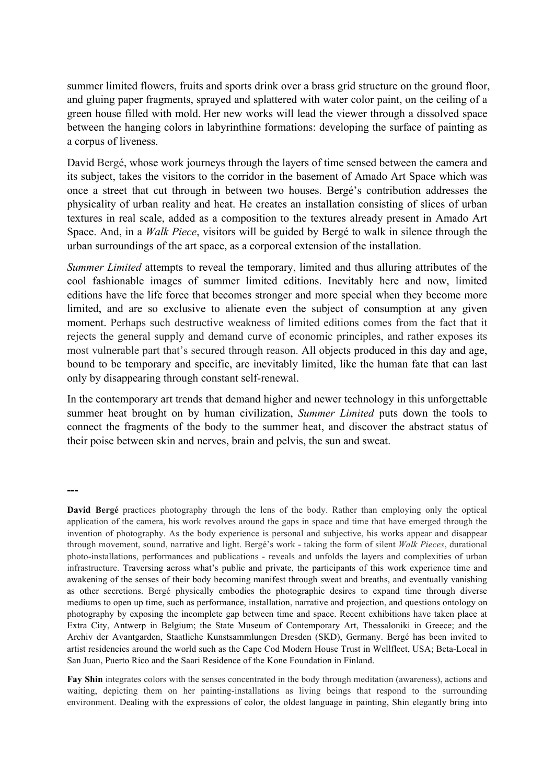summer limited flowers, fruits and sports drink over a brass grid structure on the ground floor, and gluing paper fragments, sprayed and splattered with water color paint, on the ceiling of a green house filled with mold. Her new works will lead the viewer through a dissolved space between the hanging colors in labyrinthine formations: developing the surface of painting as a corpus of liveness.

David Bergé, whose work journeys through the layers of time sensed between the camera and its subject, takes the visitors to the corridor in the basement of Amado Art Space which was once a street that cut through in between two houses. Bergé's contribution addresses the physicality of urban reality and heat. He creates an installation consisting of slices of urban textures in real scale, added as a composition to the textures already present in Amado Art Space. And, in a *Walk Piece*, visitors will be guided by Bergé to walk in silence through the urban surroundings of the art space, as a corporeal extension of the installation.

*Summer Limited* attempts to reveal the temporary, limited and thus alluring attributes of the cool fashionable images of summer limited editions. Inevitably here and now, limited editions have the life force that becomes stronger and more special when they become more limited, and are so exclusive to alienate even the subject of consumption at any given moment. Perhaps such destructive weakness of limited editions comes from the fact that it rejects the general supply and demand curve of economic principles, and rather exposes its most vulnerable part that's secured through reason. All objects produced in this day and age, bound to be temporary and specific, are inevitably limited, like the human fate that can last only by disappearing through constant self-renewal.

In the contemporary art trends that demand higher and newer technology in this unforgettable summer heat brought on by human civilization, *Summer Limited* puts down the tools to connect the fragments of the body to the summer heat, and discover the abstract status of their poise between skin and nerves, brain and pelvis, the sun and sweat.

**---**

**Fay Shin** integrates colors with the senses concentrated in the body through meditation (awareness), actions and waiting, depicting them on her painting-installations as living beings that respond to the surrounding environment. Dealing with the expressions of color, the oldest language in painting, Shin elegantly bring into

**David Bergé** practices photography through the lens of the body. Rather than employing only the optical application of the camera, his work revolves around the gaps in space and time that have emerged through the invention of photography. As the body experience is personal and subjective, his works appear and disappear through movement, sound, narrative and light. Bergé's work - taking the form of silent *Walk Pieces*, durational photo-installations, performances and publications - reveals and unfolds the layers and complexities of urban infrastructure. Traversing across what's public and private, the participants of this work experience time and awakening of the senses of their body becoming manifest through sweat and breaths, and eventually vanishing as other secretions. Bergé physically embodies the photographic desires to expand time through diverse mediums to open up time, such as performance, installation, narrative and projection, and questions ontology on photography by exposing the incomplete gap between time and space. Recent exhibitions have taken place at Extra City, Antwerp in Belgium; the State Museum of Contemporary Art, Thessaloniki in Greece; and the Archiv der Avantgarden, Staatliche Kunstsammlungen Dresden (SKD), Germany. Bergé has been invited to artist residencies around the world such as the Cape Cod Modern House Trust in Wellfleet, USA; Beta-Local in San Juan, Puerto Rico and the Saari Residence of the Kone Foundation in Finland.